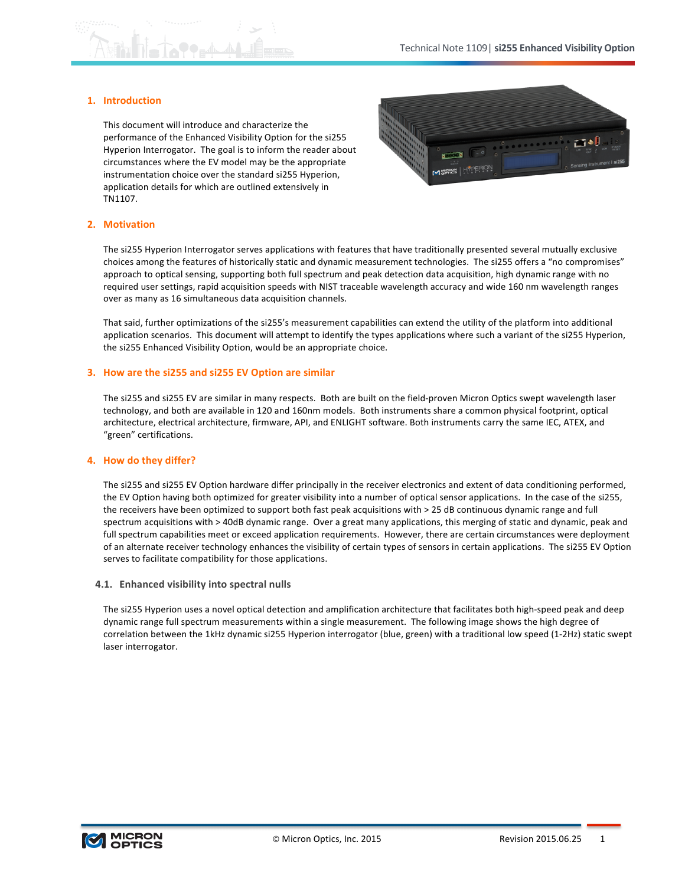## **1. Introduction**

This document will introduce and characterize the performance of the Enhanced Visibility Option for the si255 Hyperion Interrogator. The goal is to inform the reader about circumstances where the EV model may be the appropriate instrumentation choice over the standard si255 Hyperion, application details for which are outlined extensively in TN1107.



### **2. Motivation**

The si255 Hyperion Interrogator serves applications with features that have traditionally presented several mutually exclusive choices among the features of historically static and dynamic measurement technologies. The si255 offers a "no compromises" approach to optical sensing, supporting both full spectrum and peak detection data acquisition, high dynamic range with no required user settings, rapid acquisition speeds with NIST traceable wavelength accuracy and wide 160 nm wavelength ranges over as many as 16 simultaneous data acquisition channels.

That said, further optimizations of the si255's measurement capabilities can extend the utility of the platform into additional application scenarios. This document will attempt to identify the types applications where such a variant of the si255 Hyperion, the si255 Enhanced Visibility Option, would be an appropriate choice.

#### **3.** How are the si255 and si255 EV Option are similar

The si255 and si255 EV are similar in many respects. Both are built on the field-proven Micron Optics swept wavelength laser technology, and both are available in 120 and 160nm models. Both instruments share a common physical footprint, optical architecture, electrical architecture, firmware, API, and ENLIGHT software. Both instruments carry the same IEC, ATEX, and "green" certifications.

### **4. How do!they!differ?**

The si255 and si255 EV Option hardware differ principally in the receiver electronics and extent of data conditioning performed, the EV Option having both optimized for greater visibility into a number of optical sensor applications. In the case of the si255, the receivers have been optimized to support both fast peak acquisitions with > 25 dB continuous dynamic range and full spectrum acquisitions with > 40dB dynamic range. Over a great many applications, this merging of static and dynamic, peak and full spectrum capabilities meet or exceed application requirements. However, there are certain circumstances were deployment of an alternate receiver technology enhances the visibility of certain types of sensors in certain applications. The si255 EV Option serves to facilitate compatibility for those applications.

### **4.1. Enhanced visibility!into spectral nulls**

The si255 Hyperion uses a novel optical detection and amplification architecture that facilitates both high-speed peak and deep dynamic range full spectrum measurements within a single measurement. The following image shows the high degree of correlation between the 1kHz dynamic si255 Hyperion interrogator (blue, green) with a traditional low speed (1-2Hz) static swept laser interrogator.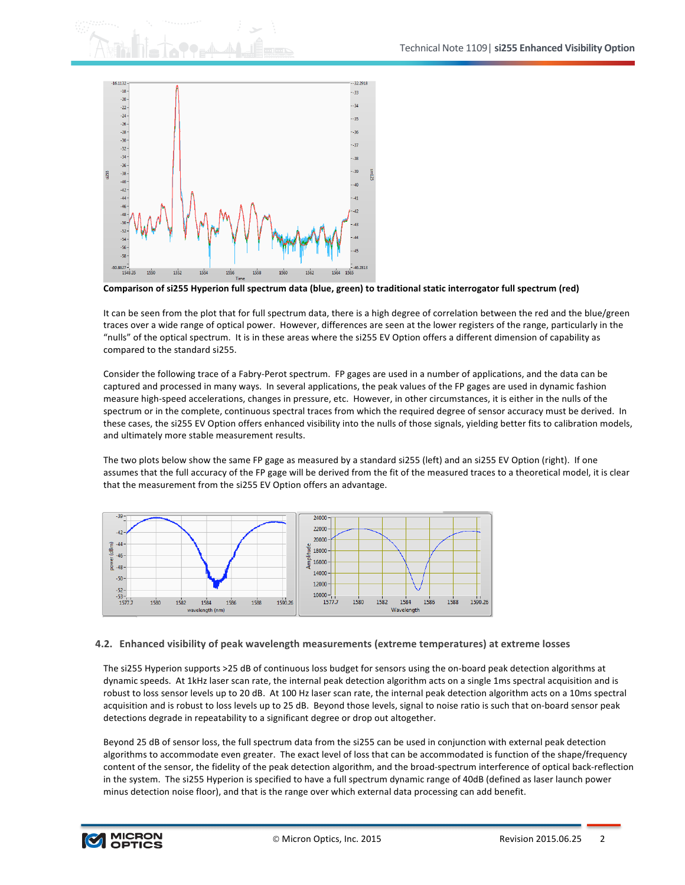

Comparison of si255 Hyperion full spectrum data (blue, green) to traditional static interrogator full spectrum (red)

It can be seen from the plot that for full spectrum data, there is a high degree of correlation between the red and the blue/green traces over a wide range of optical power. However, differences are seen at the lower registers of the range, particularly in the "nulls" of the optical spectrum. It is in these areas where the si255 EV Option offers a different dimension of capability as compared to the standard si255.

Consider the following trace of a Fabry-Perot spectrum. FP gages are used in a number of applications, and the data can be captured and processed in many ways. In several applications, the peak values of the FP gages are used in dynamic fashion measure high-speed accelerations, changes in pressure, etc. However, in other circumstances, it is either in the nulls of the spectrum or in the complete, continuous spectral traces from which the required degree of sensor accuracy must be derived. In these cases, the si255 EV Option offers enhanced visibility into the nulls of those signals, yielding better fits to calibration models, and ultimately more stable measurement results.

The two plots below show the same FP gage as measured by a standard si255 (left) and an si255 EV Option (right). If one assumes that the full accuracy of the FP gage will be derived from the fit of the measured traces to a theoretical model, it is clear that the measurement from the si255 EV Option offers an advantage.



## **4.2.** Enhanced visibility of peak wavelength measurements (extreme temperatures) at extreme losses

The si255 Hyperion supports >25 dB of continuous loss budget for sensors using the on-board peak detection algorithms at dynamic speeds. At 1kHz laser scan rate, the internal peak detection algorithm acts on a single 1ms spectral acquisition and is robust to loss sensor levels up to 20 dB. At 100 Hz laser scan rate, the internal peak detection algorithm acts on a 10ms spectral acquisition and is robust to loss levels up to 25 dB. Beyond those levels, signal to noise ratio is such that on-board sensor peak detections degrade in repeatability to a significant degree or drop out altogether.

Beyond 25 dB of sensor loss, the full spectrum data from the si255 can be used in conjunction with external peak detection algorithms to accommodate even greater. The exact level of loss that can be accommodated is function of the shape/frequency content of the sensor, the fidelity of the peak detection algorithm, and the broad-spectrum interference of optical back-reflection in the system. The si255 Hyperion is specified to have a full spectrum dynamic range of 40dB (defined as laser launch power minus detection noise floor), and that is the range over which external data processing can add benefit.

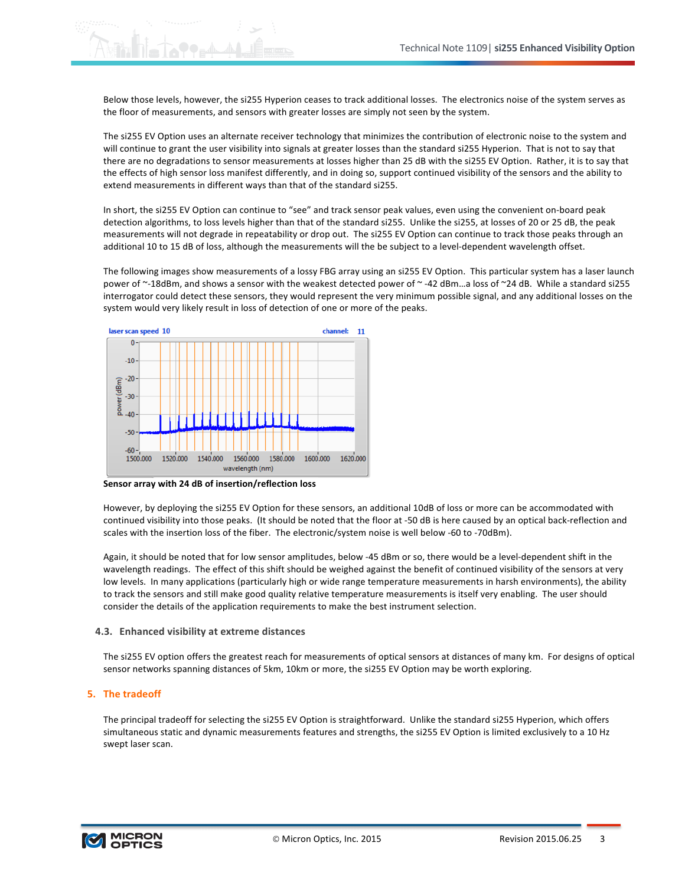Below those levels, however, the si255 Hyperion ceases to track additional losses. The electronics noise of the system serves as the floor of measurements, and sensors with greater losses are simply not seen by the system.

The si255 EV Option uses an alternate receiver technology that minimizes the contribution of electronic noise to the system and will continue to grant the user visibility into signals at greater losses than the standard si255 Hyperion. That is not to say that there are no degradations to sensor measurements at losses higher than 25 dB with the si255 EV Option. Rather, it is to say that the effects of high sensor loss manifest differently, and in doing so, support continued visibility of the sensors and the ability to extend measurements in different ways than that of the standard si255.

In short, the si255 EV Option can continue to "see" and track sensor peak values, even using the convenient on-board peak detection algorithms, to loss levels higher than that of the standard si255. Unlike the si255, at losses of 20 or 25 dB, the peak measurements will not degrade in repeatability or drop out. The si255 EV Option can continue to track those peaks through an additional 10 to 15 dB of loss, although the measurements will the be subject to a level-dependent wavelength offset.

The following images show measurements of a lossy FBG array using an si255 EV Option. This particular system has a laser launch power of ~-18dBm, and shows a sensor with the weakest detected power of ~-42 dBm...a loss of ~24 dB. While a standard si255 interrogator could detect these sensors, they would represent the very minimum possible signal, and any additional losses on the system would very likely result in loss of detection of one or more of the peaks.



Sensor array with 24 dB of insertion/reflection loss

However, by deploying the si255 EV Option for these sensors, an additional 10dB of loss or more can be accommodated with continued visibility into those peaks. (It should be noted that the floor at -50 dB is here caused by an optical back-reflection and scales with the insertion loss of the fiber. The electronic/system noise is well below -60 to -70dBm).

Again, it should be noted that for low sensor amplitudes, below -45 dBm or so, there would be a level-dependent shift in the wavelength readings. The effect of this shift should be weighed against the benefit of continued visibility of the sensors at very low levels. In many applications (particularly high or wide range temperature measurements in harsh environments), the ability to track the sensors and still make good quality relative temperature measurements is itself very enabling. The user should consider the details of the application requirements to make the best instrument selection.

### **4.3. Enhanced visibility at extreme distances**

The si255 EV option offers the greatest reach for measurements of optical sensors at distances of many km. For designs of optical sensor networks spanning distances of 5km, 10km or more, the si255 EV Option may be worth exploring.

## **5.** The tradeoff

The principal tradeoff for selecting the si255 EV Option is straightforward. Unlike the standard si255 Hyperion, which offers simultaneous static and dynamic measurements features and strengths, the si255 EV Option is limited exclusively to a 10 Hz swept laser scan.